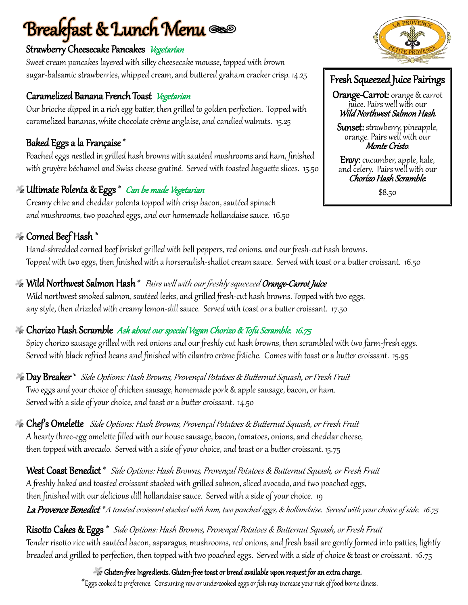# **Breakfast & Lunch Menu**  $\infty$

#### Strawberry Cheesecake Pancakes Vegetarian

Sweet cream pancakes layered with silky cheesecake mousse, topped with brown sugar-balsamic strawberries, whipped cream, and buttered graham cracker crisp. 14.25

#### Caramelized Banana French Toast Vegetarian

Our brioche dipped in a rich egg batter, then grilled to golden perfection. Topped with caramelized bananas, white chocolate crème anglaise, and candied walnuts. 15.25

#### Baked Eggs a la Française \*

Poached eggs nestled in grilled hash browns with sautéed mushrooms and ham, finished with gruyère béchamel and Swiss cheese gratiné. Served with toasted baguette slices. 15.50

#### **We Ultimate Polenta & Eggs** \* Can be made Vegetarian

Creamy chive and cheddar polenta topped with crisp bacon, sautéed spinach and mushrooms, two poached eggs, and our homemade hollandaise sauce. 16.50

#### Corned Beef Hash \*

Hand-shredded corned beef brisket grilled with bell peppers, red onions, and our fresh-cut hash browns. Topped with two eggs, then finished with a horseradish-shallot cream sauce. Served with toast or a butter croissant. 16.50

#### $\gg$  Wild Northwest Salmon Hash  $^*$  Pairs well with our freshly squeezed Orange-Carrot Juice

Wild northwest smoked salmon, sautéed leeks, and grilled fresh-cut hash browns. Topped with two eggs, any style, then drizzled with creamy lemon-dill sauce. Served with toast or a butter croissant. 17.50

### **Ex Chorizo Hash Scramble** Ask about our special Vegan Chorizo & Tofu Scramble. 16.75

Spicy chorizo sausage grilled with red onions and our freshly cut hash browns, then scrambled with two farm-fresh eggs. Served with black refried beans and finished with cilantro crème frâiche. Comes with toast or a butter croissant. 15.95

 $\bullet$  **Day Breaker**  $^*$  *Side Options: Hash Browns, Provençal Potatoes & Butternut Squash, or Fresh Fruit* Two eggs and your choice of chicken sausage, homemade pork & apple sausage, bacon, or ham. Served with a side of your choice, and toast or a butter croissant. 14.50

Chef's Omelette Side Options: Hash Browns, Provençal Potatoes & Butternut Squash, or Fresh Fruit A hearty three-egg omelette filled with our house sausage, bacon, tomatoes, onions, and cheddar cheese, then topped with avocado. Served with a side of your choice, and toast or a butter croissant. 15.75

West Coast Benedict \* Side Options: Hash Browns, Provençal Potatoes & Butternut Squash, or Fresh Fruit A freshly baked and toasted croissant stacked with grilled salmon, sliced avocado, and two poached eggs, then finished with our delicious dill hollandaise sauce. Served with a side of your choice. 19 La Provence Benedict \*A toasted croissant stacked with ham, two poached eggs, & hollandaise. Served with your choice of side. 16.75

Risotto Cakes & Eggs \* Side Options: Hash Browns, Provençal Potatoes & Butternut Squash, or Fresh Fruit Tender risotto rice with sautéed bacon, asparagus, mushrooms, red onions, and fresh basil are gently formed into patties, lightly breaded and grilled to perfection, then topped with two poached eggs. Served with a side of choice & toast or croissant. 16.75

Gluten-free Ingredients. Gluten-free toast or bread available upon request for an extra charge.

\*Eggs cooked to preference. Consuming raw or undercooked eggs or fish may increase your risk of food borne illness.



### Fresh Squeezed Juice Pairings

Orange-Carrot: orange & carrot juice. Pairs well with our Wild Northwest Salmon Hash.

Sunset: strawberry, pineapple, orange. Pairs well with our Monte Cristo.

Envy: cucumber, apple, kale, and celery. Pairs well with our Chorizo Hash Scramble.

\$8.50